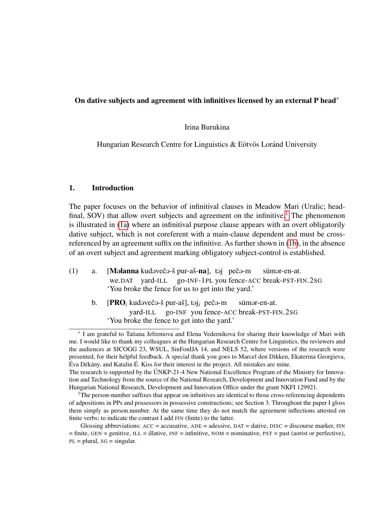## On dative subjects and agreement with infinitives licensed by an external P head\*

### Irina Burukina

Hungarian Research Centre for Linguistics  $&$  Eötvös Loránd University

## 1. Introduction

The paper focuses on the behavior of infinitival clauses in Meadow Mari (Uralic; head-final, SOV) that allow overt subjects and agreement on the infinitive.<sup>[1](#page-0-0)</sup> The phenomenon is illustrated in [\(1a\)](#page-0-1) where an infinitival purpose clause appears with an overt obligatorily dative subject, which is not coreferent with a main-clause dependent and must be crossreferenced by an agreement suffix on the infinitive. As further shown in [\(1b\)](#page-0-2), in the absence of an overt subject and agreement marking obligatory subject-control is established.

- <span id="page-0-2"></span><span id="page-0-1"></span>(1) a. [M**əlanna** kudəvečə-š pur-aš-na], təj pečə-m we.DAT yard-ILL go-INF-1PL you fence-ACC break-PST-FIN.2SG sümər-en-at. 'You broke the fence for us to get into the yard.'
	- b. [PRO<sub>*i*</sub> kudəvečə-š pur-aš], təj<sub>*i*</sub> pečə-m yard-ILL go-INF you fence-ACC break-PST-FIN.2SG sümar-en-at. 'You broke the fence to get into the yard.'

<sup>\*</sup> I am grateful to Tatiana Jefremova and Elena Vedernikova for sharing their knowledge of Mari with me. I would like to thank my colleagues at the Hungarian Research Centre for Linguistics, the reviewers and the audiences at SICOGG 23, WSUL, SinFonIJA 14, and NELS 52, where versions of the research were presented, for their helpful feedback. A special thank you goes to Marcel den Dikken, Ekaterina Georgieva, Éva Dékány, and Katalin É. Kiss for their interest in the project. All mistakes are mine.

The research is supported by the ÚNKP-21-4 New National Excellence Program of the Ministry for Innovation and Technology from the source of the National Research, Development and Innovation Fund and by the Hungarian National Research, Development and Innovation Office under the grant NKFI 129921.

<span id="page-0-0"></span> $1$ The person-number suffixes that appear on infinitives are identical to those cross-referencing dependents of adpositions in PPs and possessors in possessive constructions; see Section 3. Throughout the paper I gloss them simply as person.number. At the same time they do not match the agreement inflections attested on finite verbs; to indicate the contrast I add FIN (finite) to the latter.

Glossing abbreviations:  $ACC = accusative$ ,  $ADE = addressive$ ,  $DATA = dative$ ,  $DISC = discourse$  marker,  $FIN$  $=$  finite, GEN  $=$  genitive, ILL  $=$  illative, INF  $=$  infinitive, NOM  $=$  nominative, PST  $=$  past (aorist or perfective),  $PL = plural$ ,  $SG = singular$ .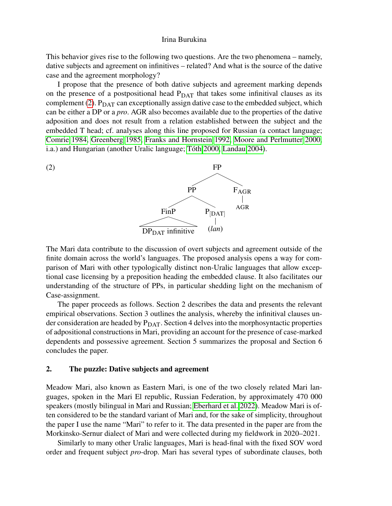This behavior gives rise to the following two questions. Are the two phenomena – namely, dative subjects and agreement on infinitives – related? And what is the source of the dative case and the agreement morphology?

I propose that the presence of both dative subjects and agreement marking depends on the presence of a postpositional head  $P<sub>DAT</sub>$  that takes some infinitival clauses as its complement [\(2\)](#page-1-0).  $P<sub>DAT</sub>$  can exceptionally assign dative case to the embedded subject, which can be either a DP or a *pro*. AGR also becomes available due to the properties of the dative adposition and does not result from a relation established between the subject and the embedded T head; cf. analyses along this line proposed for Russian (a contact language; [Comrie 1984,](#page-12-0) [Greenberg 1985,](#page-12-1) [Franks and Hornstein 1992,](#page-12-2) [Moore and Perlmutter 2000,](#page-12-3) i.a.) and Hungarian (another Uralic language; Tóth 2000, [Landau 2004\)](#page-12-4).

<span id="page-1-0"></span>

The Mari data contribute to the discussion of overt subjects and agreement outside of the finite domain across the world's languages. The proposed analysis opens a way for comparison of Mari with other typologically distinct non-Uralic languages that allow exceptional case licensing by a preposition heading the embedded clause. It also facilitates our understanding of the structure of PPs, in particular shedding light on the mechanism of Case-assignment.

The paper proceeds as follows. Section 2 describes the data and presents the relevant empirical observations. Section 3 outlines the analysis, whereby the infinitival clauses under consideration are headed by  $P<sub>DAT</sub>$ . Section 4 delves into the morphosyntactic properties of adpositional constructions in Mari, providing an account for the presence of case-marked dependents and possessive agreement. Section 5 summarizes the proposal and Section 6 concludes the paper.

### 2. The puzzle: Dative subjects and agreement

Meadow Mari, also known as Eastern Mari, is one of the two closely related Mari languages, spoken in the Mari El republic, Russian Federation, by approximately 470 000 speakers (mostly bilingual in Mari and Russian; [Eberhard et al. 2022\)](#page-12-5). Meadow Mari is often considered to be the standard variant of Mari and, for the sake of simplicity, throughout the paper I use the name "Mari" to refer to it. The data presented in the paper are from the Morkinsko-Sernur dialect of Mari and were collected during my fieldwork in 2020–2021.

Similarly to many other Uralic languages, Mari is head-final with the fixed SOV word order and frequent subject *pro*-drop. Mari has several types of subordinate clauses, both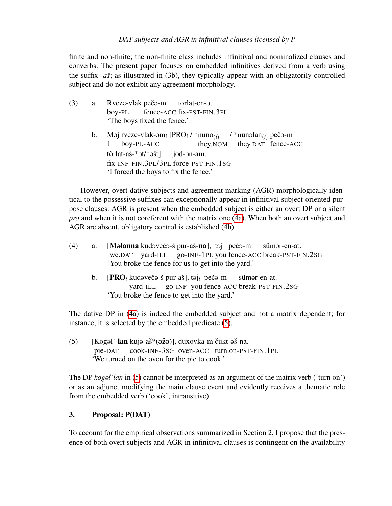finite and non-finite; the non-finite class includes infinitival and nominalized clauses and converbs. The present paper focuses on embedded infinitives derived from a verb using the suffix -*asˇ*; as illustrated in [\(3b\)](#page-2-0), they typically appear with an obligatorily controlled subject and do not exhibit any agreement morphology.

<span id="page-2-0"></span>(3) a. Rveze-vlak pečo-m boy-PL fence-ACC fix-PST-FIN.3PL törlat-en-at. 'The boys fixed the fence.' b. M@j rveze-vlak-@m*<sup>i</sup>* [PRO*<sup>i</sup>* / \*nuno(*i*) I boy-PL-ACC they.NOM / \*nunəlan<sub>(*i*)</sub> pečə-m they.DAT fence-ACC  $t$ örlat-aš-\* $\partial t$ \* $\partial \delta t$ ] fix-INF-FIN.3PL/3PL force-PST-FIN.1SG jod-@n-am. 'I forced the boys to fix the fence.'

However, overt dative subjects and agreement marking (AGR) morphologically identical to the possessive suffixes can exceptionally appear in infinitival subject-oriented purpose clauses. AGR is present when the embedded subject is either an overt DP or a silent *pro* and when it is not coreferent with the matrix one [\(4a\)](#page-2-1). When both an overt subject and AGR are absent, obligatory control is established [\(4b\)](#page-2-2).

<span id="page-2-2"></span><span id="page-2-1"></span>

| (4) | a.             | [Məlanna kudəvečə-š pur-aš-na], təj pečə-m sümər-en-at.<br>we.DAT yard-ILL go-INF-1PL you fence-ACC break-PST-FIN.2SG<br>'You broke the fence for us to get into the yard.'            |
|-----|----------------|----------------------------------------------------------------------------------------------------------------------------------------------------------------------------------------|
|     | $\mathbf{b}$ . | $[{\bf P}{\bf R}{\bf O}_i]$ kudəvečə-š pur-aš], təj <sub>i</sub> pečə-m sümər-en-at.<br>yard-ILL go-INF you fence-ACC break-PST-FIN.2SG<br>'You broke the fence to get into the yard.' |
|     |                | The dative DP in (4a) is indeed the embedded subject and not a matrix dependent; for<br>instance, it is selected by the embedded predicate (5).                                        |
| (5) |                | $[Kogol'$ -lan küjə-aš* $(\vec{azo})$ , duxovka-m čükt-əš-na.<br>pie-DAT cook-INF-3SG oven-ACC turn.on-PST-FIN.1PL<br>'We turned on the oven for the pie to cook.'                     |

<span id="page-2-3"></span>The DP *kogal'lan* in [\(5\)](#page-2-3) cannot be interpreted as an argument of the matrix verb ('turn on') or as an adjunct modifying the main clause event and evidently receives a thematic role from the embedded verb ('cook', intransitive).

# 3. Proposal: P(DAT)

To account for the empirical observations summarized in Section 2, I propose that the presence of both overt subjects and AGR in infinitival clauses is contingent on the availability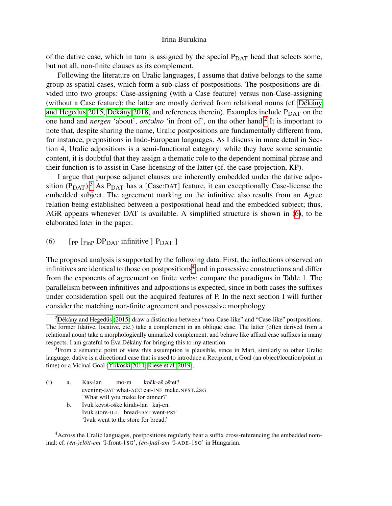of the dative case, which in turn is assigned by the special  $P<sub>DAT</sub>$  head that selects some, but not all, non-finite clauses as its complement.

Following the literature on Uralic languages, I assume that dative belongs to the same group as spatial cases, which form a sub-class of postpositions. The postpositions are divided into two groups: Case-assigning (with a Case feature) versus non-Case-assigning (without a Case feature); the latter are mostly derived from relational nouns (cf. Dékány and Hegedüs 2015, Dékány 2018, and references therein). Examples include  $P_{\text{DAT}}$  on the one hand and *nergen* 'about', *ončolno* 'in front of', on the other hand.<sup>[2](#page-3-0)</sup> It is important to note that, despite sharing the name, Uralic postpositions are fundamentally different from, for instance, prepositions in Indo-European languages. As I discuss in more detail in Section 4, Uralic adpositions is a semi-functional category: while they have some semantic content, it is doubtful that they assign a thematic role to the dependent nominal phrase and their function is to assist in Case-licensing of the latter (cf. the case-projection, KP).

I argue that purpose adjunct clauses are inherently embedded under the dative adposition  $(P<sub>DAT</sub>)$ .<sup>[3](#page-3-1)</sup> As  $P<sub>DAT</sub>$  has a [Case:DAT] feature, it can exceptionally Case-license the embedded subject. The agreement marking on the infinitive also results from an Agree relation being established between a postpositional head and the embedded subject; thus, AGR appears whenever DAT is available. A simplified structure is shown in [\(6\)](#page-3-2), to be elaborated later in the paper.

<span id="page-3-2"></span>(6) [PP  $\left[$  FinP DP<sub>DAT</sub> infinitive  $\left[$  P<sub>DAT</sub>  $\right]$ 

The proposed analysis is supported by the following data. First, the inflections observed on infinitives are identical to those on postpositions<sup>[4](#page-3-3)</sup> and in possessive constructions and differ from the exponents of agreement on finite verbs; compare the paradigms in Table 1. The parallelism between infinitives and adpositions is expected, since in both cases the suffixes under consideration spell out the acquired features of P. In the next section I will further consider the matching non-finite agreement and possessive morphology.

(i) a. Kas-lan evening-DAT what-ACC eat-INF make.NPST.2SG mo-m kočk-aš əštet? 'What will you make for dinner?' b. Ivuk kevət-əške kində-lan kaj-en. Ivuk store-ILL bread-DAT went-PST 'Ivuk went to the store for bread.'

<span id="page-3-3"></span><sup>4</sup> Across the Uralic languages, postpositions regularly bear a suffix cross-referencing the embedded nominal: cf. *(én-)előtt-em* 'I-front-1sG', *(én-)nál-am* 'I-ADE-1SG' in Hungarian.

<span id="page-3-0"></span> ${}^{2}$ Dékány and Hegedüs [\(2015\)](#page-12-6) draw a distinction between "non-Case-like" and "Case-like" postpositions. The former (dative, locative, etc.) take a complement in an oblique case. The latter (often derived from a relational noun) take a morphologically unmarked complement, and behave like affixal case suffixes in many respects. I am grateful to Éva Dékány for bringing this to my attention.

<span id="page-3-1"></span><sup>&</sup>lt;sup>3</sup>From a semantic point of view this assumption is plausible, since in Mari, similarly to other Uralic language, dative is a directional case that is used to introduce a Recipient, a Goal (an object/location/point in time) or a Vicinal Goal [\(Ylikoski 2011,](#page-13-1) [Riese et al. 2019\)](#page-13-2).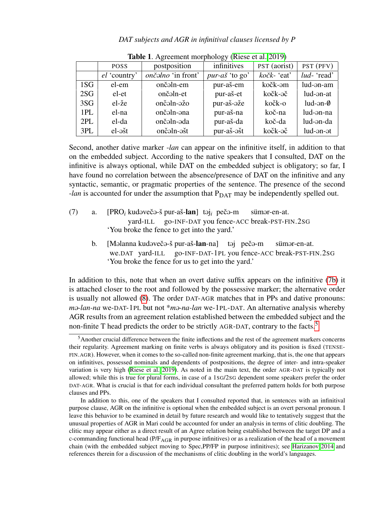|     | <b>POSS</b>           | postposition       | infinitives           | PST (aorist) | PST (PFV)              |
|-----|-----------------------|--------------------|-----------------------|--------------|------------------------|
|     | el 'country'          | ončalno 'in front' | <i>pur-aš</i> 'to go' | kočk- 'eat'  | <i>lud</i> -'read'     |
| 1SG | el-em                 | ončəln-em          | pur-aš-em             | kočk-əm      | lud-an-am              |
| 2SG | el-et                 | ončaln-et          | pur-aš-et             | kočk-əč      | lud-ən-at              |
| 3SG | el-že                 | ončaln-ažo         | pur-aš-aže            | kočk-o       | $lud$ -ən- $\emptyset$ |
| 1PL | el-na                 | ončaln-ana         | pur-aš-na             | koč-na       | lud-an-na              |
| 2PL | el-da                 | ončaln-ada         | pur-aš-da             | koč-da       | lud-an-da              |
| 3PL | $el$ - $\tilde{a}$ st | ončəln-əšt         | pur-aš-ašt            | kočk-əč      | lud-an-at              |

Table 1. Agreement morphology [\(Riese et al. 2019\)](#page-13-2)

Second, another dative marker -*lan* can appear on the infinitive itself, in addition to that on the embedded subject. According to the native speakers that I consulted, DAT on the infinitive is always optional, while DAT on the embedded subject is obligatory; so far, I have found no correlation between the absence/presence of DAT on the infinitive and any syntactic, semantic, or pragmatic properties of the sentence. The presence of the second *-lan* is accounted for under the assumption that P<sub>DAT</sub> may be independently spelled out.

- <span id="page-4-0"></span>(7) a. [PRO<sub>*i*</sub> kudəvečə-š pur-aš-**lan**] təj<sub>i</sub> pečə-m yard-ILL go-INF-DAT you fence-ACC break-PST-FIN.2SG sümar-en-at. 'You broke the fence to get into the yard.'
	- b. [Məlanna kudəvečə-š pur-aš-**lan**-na] təj pečə-m we.DAT yard-ILL go-INF-DAT-1PL you fence-ACC break-PST-FIN.2SG sümər-en-at. 'You broke the fence for us to get into the yard.'

In addition to this, note that when an overt dative suffix appears on the infinitive [\(7b\)](#page-4-0) it is attached closer to the root and followed by the possessive marker; the alternative order is usually not allowed [\(8\)](#page-4-1). The order DAT-AGR matches that in PPs and dative pronouns: *m* $\theta$ -*lan-na* we-DAT-1PL but not \**m* $\theta$ -*na-lan* we-1PL-DAT. An alternative analysis whereby AGR results from an agreement relation established between the embedded subject and the non-finite T head predicts the order to be strictly AGR-DAT, contrary to the facts.<sup>[5](#page-4-2)</sup>

<span id="page-4-2"></span><span id="page-4-1"></span><sup>5</sup>Another crucial difference between the finite inflections and the rest of the agreement markers concerns their regularity. Agreement marking on finite verbs is always obligatory and its position is fixed (TENSE-FIN.AGR). However, when it comes to the so-called non-finite agreement marking, that is, the one that appears on infinitives, possessed nominals and dependents of postpositions, the degree of inter- and intra-speaker variation is very high [\(Riese et al. 2019\)](#page-13-2). As noted in the main text, the order AGR-DAT is typically not allowed; while this is true for plural forms, in case of a 1SG/2SG dependent some speakers prefer the order DAT-AGR. What is crucial is that for each individual consultant the preferred pattern holds for both purpose clauses and PPs.

In addition to this, one of the speakers that I consulted reported that, in sentences with an infinitival purpose clause, AGR on the infinitive is optional when the embedded subject is an overt personal pronoun. I leave this behavior to be examined in detail by future research and would like to tentatively suggest that the unusual properties of AGR in Mari could be accounted for under an analysis in terms of clitic doubling. The clitic may appear either as a direct result of an Agree relation being established between the target DP and a c-commanding functional head (P/F<sub>AGR</sub> in purpose infinitives) or as a realization of the head of a movement chain (with the embedded subject moving to Spec,PP/FP in purpose infinitives); see [Harizanov 2014](#page-12-8) and references therein for a discussion of the mechanisms of clitic doubling in the world's languages.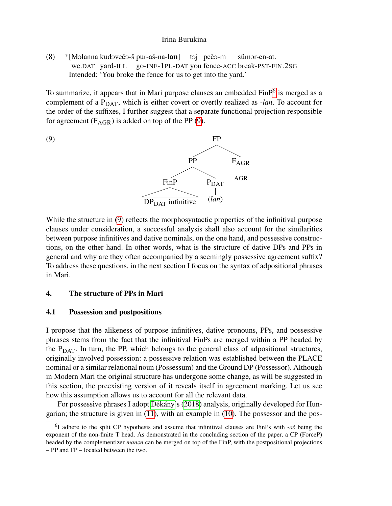(8) \* [Məlanna kudəvečə-š pur-aš-na-lan] we.DAT yard-ILL go-INF-1PL-DAT you fence-ACC break-PST-FIN.2SG təj pečə-m sümar-en-at. Intended: 'You broke the fence for us to get into the yard.'

To summarize, it appears that in Mari purpose clauses an embedded FinP<sup>[6](#page-5-0)</sup> is merged as a complement of a P<sub>DAT</sub>, which is either covert or overtly realized as *-lan*. To account for the order of the suffixes, I further suggest that a separate functional projection responsible for agreement  $(F_{AGR})$  is added on top of the PP [\(9\)](#page-5-1).

<span id="page-5-1"></span>

While the structure in [\(9\)](#page-5-1) reflects the morphosyntactic properties of the infinitival purpose clauses under consideration, a successful analysis shall also account for the similarities between purpose infinitives and dative nominals, on the one hand, and possessive constructions, on the other hand. In other words, what is the structure of dative DPs and PPs in general and why are they often accompanied by a seemingly possessive agreement suffix? To address these questions, in the next section I focus on the syntax of adpositional phrases in Mari.

## 4. The structure of PPs in Mari

#### 4.1 Possession and postpositions

I propose that the alikeness of purpose infinitives, dative pronouns, PPs, and possessive phrases stems from the fact that the infinitival FinPs are merged within a PP headed by the  $P<sub>DAT</sub>$ . In turn, the PP, which belongs to the general class of adpositional structures, originally involved possession: a possessive relation was established between the PLACE nominal or a similar relational noun (Possessum) and the Ground DP (Possessor). Although in Modern Mari the original structure has undergone some change, as will be suggested in this section, the preexisting version of it reveals itself in agreement marking. Let us see how this assumption allows us to account for all the relevant data.

For possessive phrases I adopt Dékány's [\(2018\)](#page-12-7) analysis, originally developed for Hungarian; the structure is given in [\(11\)](#page-6-0), with an example in [\(10\)](#page-6-1). The possessor and the pos-

<span id="page-5-0"></span><sup>&</sup>lt;sup>6</sup>I adhere to the split CP hypothesis and assume that infinitival clauses are FinPs with -*aš* being the exponent of the non-finite T head. As demonstrated in the concluding section of the paper, a CP (ForceP) headed by the complementizer *manon* can be merged on top of the FinP, with the postpositional projections – PP and FP – located between the two.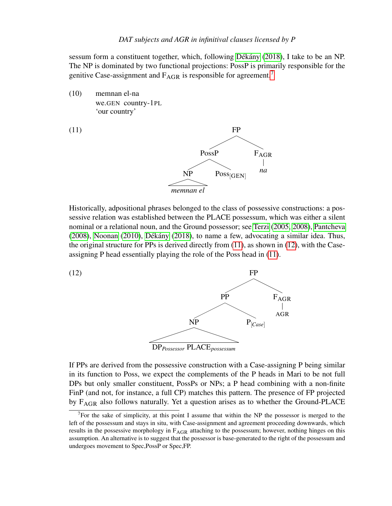sessum form a constituent together, which, following Dékány [\(2018\)](#page-12-7), I take to be an NP. The NP is dominated by two functional projections: PossP is primarily responsible for the genitive Case-assignment and  $F_{\text{AGR}}$  is responsible for agreement.<sup>[7](#page-6-2)</sup>

<span id="page-6-1"></span>(10) memnan el-na we.GEN country-1PL 'our country'

<span id="page-6-0"></span>

Historically, adpositional phrases belonged to the class of possessive constructions: a possessive relation was established between the PLACE possessum, which was either a silent nominal or a relational noun, and the Ground possessor; see [Terzi](#page-13-3) [\(2005,](#page-13-3) [2008\)](#page-13-4), [Pantcheva](#page-13-5)  $(2008)$ , [Noonan](#page-12-9)  $(2010)$ , Dékány  $(2018)$ , to name a few, advocating a similar idea. Thus, the original structure for PPs is derived directly from [\(11\)](#page-6-0), as shown in [\(12\)](#page-6-3), with the Caseassigning P head essentially playing the role of the Poss head in [\(11\)](#page-6-0).



<span id="page-6-3"></span>

If PPs are derived from the possessive construction with a Case-assigning P being similar in its function to Poss, we expect the complements of the P heads in Mari to be not full DPs but only smaller constituent, PossPs or NPs; a P head combining with a non-finite FinP (and not, for instance, a full CP) matches this pattern. The presence of FP projected by FAGR also follows naturally. Yet a question arises as to whether the Ground-PLACE

<span id="page-6-2"></span><sup>&</sup>lt;sup>7</sup>For the sake of simplicity, at this point I assume that within the NP the possessor is merged to the left of the possessum and stays in situ, with Case-assignment and agreement proceeding downwards, which results in the possessive morphology in F<sub>AGR</sub> attaching to the possessum; however, nothing hinges on this assumption. An alternative is to suggest that the possessor is base-generated to the right of the possessum and undergoes movement to Spec,PossP or Spec,FP.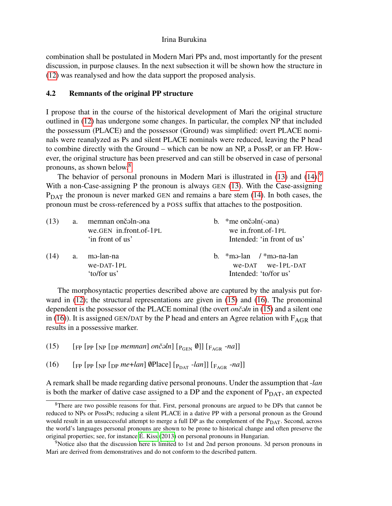combination shall be postulated in Modern Mari PPs and, most importantly for the present discussion, in purpose clauses. In the next subsection it will be shown how the structure in [\(12\)](#page-6-3) was reanalysed and how the data support the proposed analysis.

## 4.2 Remnants of the original PP structure

I propose that in the course of the historical development of Mari the original structure outlined in [\(12\)](#page-6-3) has undergone some changes. In particular, the complex NP that included the possessum (PLACE) and the possessor (Ground) was simplified: overt PLACE nominals were reanalyzed as Ps and silent PLACE nominals were reduced, leaving the P head to combine directly with the Ground – which can be now an NP, a PossP, or an FP. However, the original structure has been preserved and can still be observed in case of personal pronouns, as shown below.[8](#page-7-0)

The behavior of personal pronouns in Modern Mari is illustrated in  $(13)$  and  $(14)$ .<sup>[9](#page-7-3)</sup> With a non-Case-assigning P the pronoun is always GEN [\(13\)](#page-7-1). With the Case-assigning  $P<sub>DAT</sub>$  the pronoun is never marked GEN and remains a bare stem [\(14\)](#page-7-2). In both cases, the pronoun must be cross-referenced by a POSS suffix that attaches to the postposition.

<span id="page-7-2"></span><span id="page-7-1"></span>

| (13) | a. | memnan ončaln-ana                            | b. $\ast$ me onč $\sin(-\sin\theta)$                                                                |
|------|----|----------------------------------------------|-----------------------------------------------------------------------------------------------------|
|      |    | we.GEN in.front.of-1PL                       | we in front of-1PL                                                                                  |
|      |    | 'in front of us'                             | Intended: 'in front of us'                                                                          |
| (14) | a. | mə-lan-na<br>$we$ -DAT- $1PL$<br>'to/for us' | b. $\text{*}$ mə-lan / $\text{*}$ mə-na-lan<br>$we$ -DAT $we$ - $1PL$ -DAT<br>Intended: 'to/for us' |

The morphosyntactic properties described above are captured by the analysis put forward in [\(12\)](#page-6-3); the structural representations are given in [\(15\)](#page-7-4) and [\(16\)](#page-7-5). The pronominal dependent is the possessor of the PLACE nominal (the overt *onc*<sup>o</sup>ln in [\(15\)](#page-7-4) and a silent one in [\(16\)](#page-7-5)). It is assigned GEN/DAT by the P head and enters an Agree relation with  $F_{AGR}$  that results in a possessive marker.

<span id="page-7-4"></span>(15)  $\left[\text{FP}\left[\text{pp}\left[\text{pp}\left[\text{mp}\left[\text{mp}\left[\text{mp}\left[\text{mp}\left[\text{mp}\left[\text{pm}\right]\right]\right]\right], \text{pm}\left[\text{pm}\left[\text{pm}\right]\right]\right], \text{pm}\left[\text{pm}\left[\text{pm}\left[\text{pm}\right]\right]\right]\right]\right] \right]$ 

<span id="page-7-5"></span>(16)  $\left[\text{Fp [p p [p m e + l a n] \text{ } \textcircled{P} \text{lace}][p_{\text{DATA}} - l a n]\right] \left[\text{F}_{\text{AGR}} - n a\right]\right]$ 

A remark shall be made regarding dative personal pronouns. Under the assumption that -*lan* is both the marker of dative case assigned to a DP and the exponent of  $P_{DATA}$ , an expected

<span id="page-7-0"></span><sup>8</sup>There are two possible reasons for that. First, personal pronouns are argued to be DPs that cannot be reduced to NPs or PossPs; reducing a silent PLACE in a dative PP with a personal pronoun as the Ground would result in an unsuccessful attempt to merge a full DP as the complement of the  $P<sub>DATA</sub>$ . Second, across the world's languages personal pronouns are shown to be prone to historical change and often preserve the original properties; see, for instance  $\acute{E}$ . Kiss [\(2013\)](#page-12-10) on personal pronouns in Hungarian.

<span id="page-7-3"></span><sup>&</sup>lt;sup>9</sup>Notice also that the discussion here is limited to 1st and 2nd person pronouns. 3d person pronouns in Mari are derived from demonstratives and do not conform to the described pattern.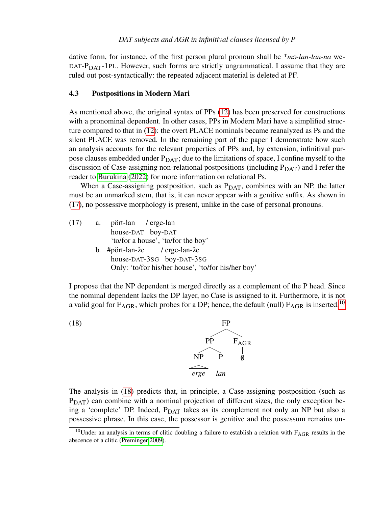dative form, for instance, of the first person plural pronoun shall be \**m* $\theta$ *-lan-lan-na* we-DAT- $P<sub>DAT</sub>$ -1PL. However, such forms are strictly ungrammatical. I assume that they are ruled out post-syntactically: the repeated adjacent material is deleted at PF.

#### 4.3 Postpositions in Modern Mari

As mentioned above, the original syntax of PPs [\(12\)](#page-6-3) has been preserved for constructions with a pronominal dependent. In other cases, PPs in Modern Mari have a simplified structure compared to that in [\(12\)](#page-6-3): the overt PLACE nominals became reanalyzed as Ps and the silent PLACE was removed. In the remaining part of the paper I demonstrate how such an analysis accounts for the relevant properties of PPs and, by extension, infinitival purpose clauses embedded under  $P_{\text{DAT}}$ ; due to the limitations of space, I confine myself to the discussion of Case-assigning non-relational postpositions (including  $P<sub>DAT</sub>$ ) and I refer the reader to [Burukina](#page-12-11) [\(2022\)](#page-12-11) for more information on relational Ps.

When a Case-assigning postposition, such as  $P<sub>DAT</sub>$ , combines with an NP, the latter must be an unmarked stem, that is, it can never appear with a genitive suffix. As shown in [\(17\)](#page-8-0), no possessive morphology is present, unlike in the case of personal pronouns.

<span id="page-8-0"></span>

| (17) | <b>a.</b> | pört-lan / erge-lan                                |
|------|-----------|----------------------------------------------------|
|      |           | house-DAT boy-DAT                                  |
|      |           | 'to/for a house', 'to/for the boy'                 |
|      |           | b. $\#$ pört-lan-že / erge-lan-že                  |
|      |           | house-DAT-3sG boy-DAT-3sG                          |
|      |           | Only: 'to/for his/her house', 'to/for his/her boy' |
|      |           |                                                    |

I propose that the NP dependent is merged directly as a complement of the P head. Since the nominal dependent lacks the DP layer, no Case is assigned to it. Furthermore, it is not a valid goal for  $F_{AGR}$ , which probes for a DP; hence, the default (null)  $F_{AGR}$  is inserted.<sup>[10](#page-8-1)</sup>

<span id="page-8-2"></span>

The analysis in [\(18\)](#page-8-2) predicts that, in principle, a Case-assigning postposition (such as  $P<sub>DAT</sub>$ ) can combine with a nominal projection of different sizes, the only exception being a 'complete' DP. Indeed,  $P<sub>DAT</sub>$  takes as its complement not only an NP but also a possessive phrase. In this case, the possessor is genitive and the possessum remains un-

<span id="page-8-1"></span><sup>&</sup>lt;sup>10</sup>Under an analysis in terms of clitic doubling a failure to establish a relation with  $F_{AGR}$  results in the abscence of a clitic [\(Preminger 2009\)](#page-13-6).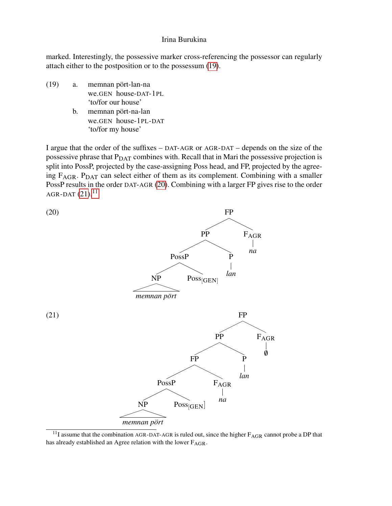marked. Interestingly, the possessive marker cross-referencing the possessor can regularly attach either to the postposition or to the possessum [\(19\)](#page-9-0).

- <span id="page-9-0"></span>(19) a. memnan pört-lan-na we.GEN house-DAT-1PL 'to/for our house'
	- b. memnan pört-na-lan we.GEN house-1PL-DAT 'to/for my house'

I argue that the order of the suffixes – DAT-AGR or AGR-DAT – depends on the size of the possessive phrase that  $P<sub>DAT</sub>$  combines with. Recall that in Mari the possessive projection is split into PossP, projected by the case-assigning Poss head, and FP, projected by the agreeing  $F_{\text{AGR}}$ .  $P_{\text{DATA}}$  can select either of them as its complement. Combining with a smaller PossP results in the order DAT-AGR [\(20\)](#page-9-1). Combining with a larger FP gives rise to the order AGR-DAT  $(21).^{11}$  $(21).^{11}$  $(21).^{11}$  $(21).^{11}$ 

<span id="page-9-2"></span><span id="page-9-1"></span>

<span id="page-9-3"></span> $11$ I assume that the combination AGR-DAT-AGR is ruled out, since the higher  $F_{AGR}$  cannot probe a DP that has already established an Agree relation with the lower FAGR.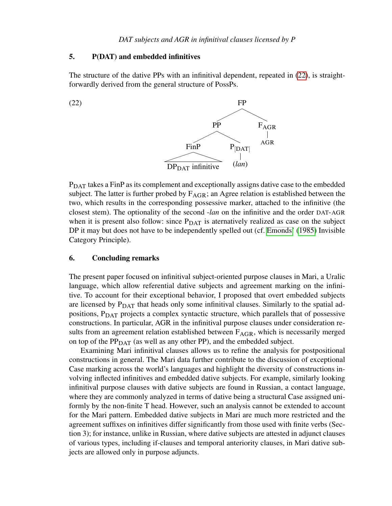## 5. P(DAT) and embedded infinitives

The structure of the dative PPs with an infinitival dependent, repeated in [\(22\)](#page-10-0), is straightforwardly derived from the general structure of PossPs.

<span id="page-10-0"></span>

PDAT takes a FinP as its complement and exceptionally assigns dative case to the embedded subject. The latter is further probed by  $F_{AGR}$ ; an Agree relation is established between the two, which results in the corresponding possessive marker, attached to the infinitive (the closest stem). The optionality of the second -*lan* on the infinitive and the order DAT-AGR when it is present also follow: since  $P_{\text{DATA}}$  is aternatively realized as case on the subject DP it may but does not have to be independently spelled out (cf. [Emonds'](#page-12-12) [\(1985\)](#page-12-12) Invisible Category Principle).

## 6. Concluding remarks

The present paper focused on infinitival subject-oriented purpose clauses in Mari, a Uralic language, which allow referential dative subjects and agreement marking on the infinitive. To account for their exceptional behavior, I proposed that overt embedded subjects are licensed by  $P<sub>DAT</sub>$  that heads only some infinitival clauses. Similarly to the spatial adpositions, P<sub>DAT</sub> projects a complex syntactic structure, which parallels that of possessive constructions. In particular, AGR in the infinitival purpose clauses under consideration results from an agreement relation established between  $F_{AGR}$ , which is necessarily merged on top of the  $PP<sub>DAT</sub>$  (as well as any other PP), and the embedded subject.

Examining Mari infinitival clauses allows us to refine the analysis for postpositional constructions in general. The Mari data further contribute to the discussion of exceptional Case marking across the world's languages and highlight the diversity of constructions involving inflected infinitives and embedded dative subjects. For example, similarly looking infinitival purpose clauses with dative subjects are found in Russian, a contact language, where they are commonly analyzed in terms of dative being a structural Case assigned uniformly by the non-finite T head. However, such an analysis cannot be extended to account for the Mari pattern. Embedded dative subjects in Mari are much more restricted and the agreement suffixes on infinitives differ significantly from those used with finite verbs (Section 3); for instance, unlike in Russian, where dative subjects are attested in adjunct clauses of various types, including if-clauses and temporal anteriority clauses, in Mari dative subjects are allowed only in purpose adjuncts.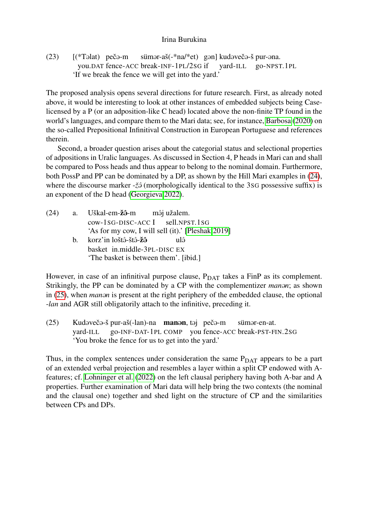$(23)$   $[(*Təlat)$  peč $ə-m$ you.DAT fence-ACC break-INF-1PL/2SG if sümər-aš(-\*na/\*et) gən] kudəvečə-š pur-əna. yard-ILL go-NPST.1PL 'If we break the fence we will get into the yard.'

The proposed analysis opens several directions for future research. First, as already noted above, it would be interesting to look at other instances of embedded subjects being Caselicensed by a P (or an adposition-like C head) located above the non-finite TP found in the world's languages, and compare them to the Mari data; see, for instance, [Barbosa](#page-12-13) [\(2020\)](#page-12-13) on the so-called Prepositional Infinitival Construction in European Portuguese and references therein.

Second, a broader question arises about the categorial status and selectional properties of adpositions in Uralic languages. As discussed in Section 4, P heads in Mari can and shall be compared to Poss heads and thus appear to belong to the nominal domain. Furthermore, both PossP and PP can be dominated by a DP, as shown by the Hill Mari examples in [\(24\)](#page-11-0), where the discourse marker - $\zeta\hat{\partial}$  (morphologically identical to the 3sG possessive suffix) is an exponent of the D head [\(Georgieva 2022\)](#page-12-14).

<span id="page-11-0"></span>

| (24) |   | a. Uškal-em-žô-m môj užalem.                      |
|------|---|---------------------------------------------------|
|      |   | $cow-1SG-DISC-ACCI$ sell. NPST. 1SG               |
|      |   | 'As for my cow, I will sell (it).' [Pleshak 2019] |
|      | h | korz'in loštô-štô- <b>žô</b><br>ulâ               |
|      |   | basket in.middle-3PL-DISC EX                      |
|      |   | 'The basket is between them'. [ibid.]             |

However, in case of an infinitival purpose clause,  $P_{DATA}$  takes a FinP as its complement. Strikingly, the PP can be dominated by a CP with the complementizer *manon*; as shown in [\(25\)](#page-11-1), when *manon* is present at the right periphery of the embedded clause, the optional -*lan* and AGR still obligatorily attach to the infinitive, preceding it.

<span id="page-11-1"></span>(25) Kudəvečə-š pur-aš(-lan)-na **manən**, təj pečə-m yard-ILL go-INF-DAT-1PL COMP you fence-ACC break-PST-FIN.2SG sümər-en-at. 'You broke the fence for us to get into the yard.'

Thus, in the complex sentences under consideration the same  $P<sub>DATA</sub>$  appears to be a part of an extended verbal projection and resembles a layer within a split CP endowed with Afeatures; cf. [Lohninger et al.](#page-12-15) [\(2022\)](#page-12-15) on the left clausal periphery having both A-bar and A properties. Further examination of Mari data will help bring the two contexts (the nominal and the clausal one) together and shed light on the structure of CP and the similarities between CPs and DPs.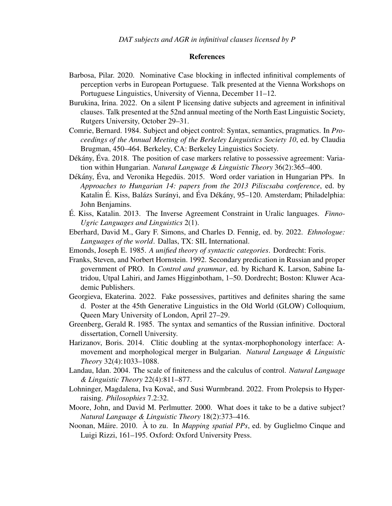### References

- <span id="page-12-13"></span>Barbosa, Pilar. 2020. Nominative Case blocking in inflected infinitival complements of perception verbs in European Portuguese. Talk presented at the Vienna Workshops on Portuguese Linguistics, University of Vienna, December 11–12.
- <span id="page-12-11"></span>Burukina, Irina. 2022. On a silent P licensing dative subjects and agreement in infinitival clauses. Talk presented at the 52nd annual meeting of the North East Linguistic Society, Rutgers University, October 29–31.
- <span id="page-12-0"></span>Comrie, Bernard. 1984. Subject and object control: Syntax, semantics, pragmatics. In *Proceedings of the Annual Meeting of the Berkeley Linguistics Society 10*, ed. by Claudia Brugman, 450–464. Berkeley, CA: Berkeley Linguistics Society.
- <span id="page-12-7"></span>Dékány, Éva. 2018. The position of case markers relative to possessive agreement: Variation within Hungarian. *Natural Language & Linguistic Theory* 36(2):365–400.
- <span id="page-12-6"></span>Dékány, Éva, and Veronika Hegedüs. 2015. Word order variation in Hungarian PPs. In *Approaches to Hungarian 14: papers from the 2013 Piliscsaba conference*, ed. by Katalin É. Kiss, Balázs Surányi, and Éva Dékány, 95–120. Amsterdam; Philadelphia: John Benjamins.
- <span id="page-12-10"></span>É. Kiss, Katalin. 2013. The Inverse Agreement Constraint in Uralic languages. *Finno-Ugric Languages and Linguistics* 2(1).
- <span id="page-12-5"></span>Eberhard, David M., Gary F. Simons, and Charles D. Fennig, ed. by. 2022. *Ethnologue: Languages of the world*. Dallas, TX: SIL International.
- <span id="page-12-12"></span>Emonds, Joseph E. 1985. *A unified theory of syntactic categories*. Dordrecht: Foris.
- <span id="page-12-2"></span>Franks, Steven, and Norbert Hornstein. 1992. Secondary predication in Russian and proper government of PRO. In *Control and grammar*, ed. by Richard K. Larson, Sabine Iatridou, Utpal Lahiri, and James Higginbotham, 1–50. Dordrecht; Boston: Kluwer Academic Publishers.
- <span id="page-12-14"></span>Georgieva, Ekaterina. 2022. Fake possessives, partitives and definites sharing the same d. Poster at the 45th Generative Linguistics in the Old World (GLOW) Colloquium, Queen Mary University of London, April 27–29.
- <span id="page-12-1"></span>Greenberg, Gerald R. 1985. The syntax and semantics of the Russian infinitive. Doctoral dissertation, Cornell University.
- <span id="page-12-8"></span>Harizanov, Boris. 2014. Clitic doubling at the syntax-morphophonology interface: Amovement and morphological merger in Bulgarian. *Natural Language & Linguistic Theory* 32(4):1033–1088.
- <span id="page-12-4"></span>Landau, Idan. 2004. The scale of finiteness and the calculus of control. *Natural Language & Linguistic Theory* 22(4):811–877.
- <span id="page-12-15"></span>Lohninger, Magdalena, Iva Kovač, and Susi Wurmbrand. 2022. From Prolepsis to Hyperraising. *Philosophies* 7.2:32.
- <span id="page-12-3"></span>Moore, John, and David M. Perlmutter. 2000. What does it take to be a dative subject? *Natural Language & Linguistic Theory* 18(2):373–416.
- <span id="page-12-9"></span>Noonan, Máire. 2010. À to zu. In *Mapping spatial PPs*, ed. by Guglielmo Cinque and Luigi Rizzi, 161–195. Oxford: Oxford University Press.